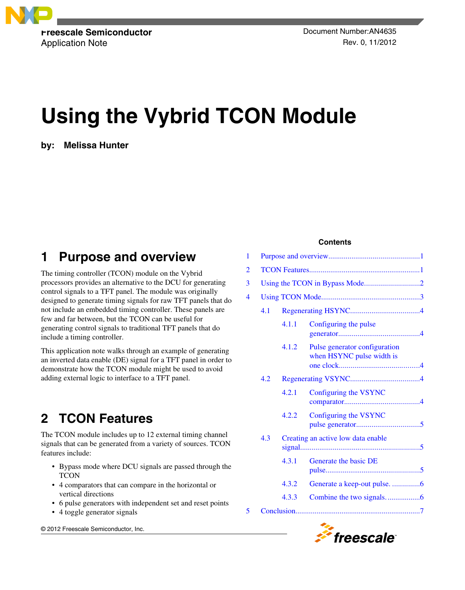

Application Note **Rev. 0, 11/2012** 

# **Using the Vybrid TCON Module**

**by: Melissa Hunter**

### **1 Purpose and overview**

The timing controller (TCON) module on the Vybrid processors provides an alternative to the DCU for generating control signals to a TFT panel. The module was originally designed to generate timing signals for raw TFT panels that do not include an embedded timing controller. These panels are few and far between, but the TCON can be useful for generating control signals to traditional TFT panels that do include a timing controller.

This application note walks through an example of generating an inverted data enable (DE) signal for a TFT panel in order to demonstrate how the TCON module might be used to avoid adding external logic to interface to a TFT panel.

# **2 TCON Features**

The TCON module includes up to 12 external timing channel signals that can be generated from a variety of sources. TCON features include:

- Bypass mode where DCU signals are passed through the TCON
- 4 comparators that can compare in the horizontal or vertical directions
- 6 pulse generators with independent set and reset points
- 4 toggle generator signals

© 2012 Freescale Semiconductor, Inc.

#### **Contents**

| 1              |     |       |                                                            |  |  |  |  |  |
|----------------|-----|-------|------------------------------------------------------------|--|--|--|--|--|
| $\overline{2}$ |     |       |                                                            |  |  |  |  |  |
| 3              |     |       |                                                            |  |  |  |  |  |
| 4              |     |       |                                                            |  |  |  |  |  |
|                | 4.1 |       |                                                            |  |  |  |  |  |
|                |     | 4.1.1 | Configuring the pulse                                      |  |  |  |  |  |
|                |     | 4.1.2 | Pulse generator configuration<br>when HSYNC pulse width is |  |  |  |  |  |
|                | 4.2 |       |                                                            |  |  |  |  |  |
|                |     | 4.2.1 | Configuring the VSYNC                                      |  |  |  |  |  |
|                |     | 4.2.2 | Configuring the VSYNC                                      |  |  |  |  |  |
|                | 4.3 |       | Creating an active low data enable                         |  |  |  |  |  |
|                |     | 4.3.1 | Generate the basic DE                                      |  |  |  |  |  |
|                |     | 4.3.2 | Generate a keep-out pulse. 6                               |  |  |  |  |  |
|                |     | 4.3.3 |                                                            |  |  |  |  |  |
| 5              |     |       |                                                            |  |  |  |  |  |
|                |     |       |                                                            |  |  |  |  |  |

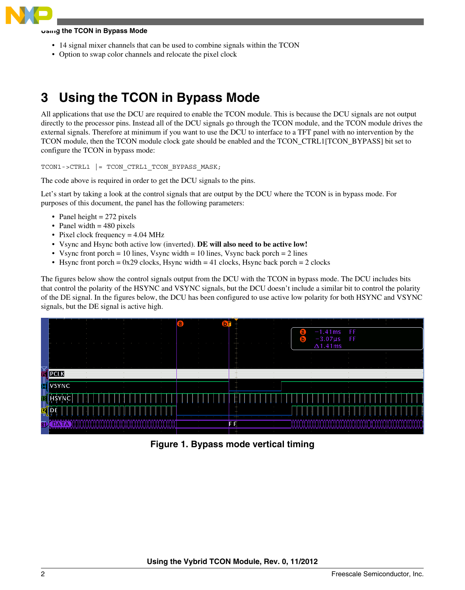<span id="page-1-0"></span>

#### **Using the TCON in Bypass Mode**

- 14 signal mixer channels that can be used to combine signals within the TCON
- Option to swap color channels and relocate the pixel clock

## **3 Using the TCON in Bypass Mode**

All applications that use the DCU are required to enable the TCON module. This is because the DCU signals are not output directly to the processor pins. Instead all of the DCU signals go through the TCON module, and the TCON module drives the external signals. Therefore at minimum if you want to use the DCU to interface to a TFT panel with no intervention by the TCON module, then the TCON module clock gate should be enabled and the TCON\_CTRL1[TCON\_BYPASS] bit set to configure the TCON in bypass mode:

TCON1->CTRL1 |= TCON\_CTRL1\_TCON\_BYPASS\_MASK;

The code above is required in order to get the DCU signals to the pins.

Let's start by taking a look at the control signals that are output by the DCU where the TCON is in bypass mode. For purposes of this document, the panel has the following parameters:

- Panel height  $= 272$  pixels
- Panel width  $= 480$  pixels
- Pixel clock frequency = 4.04 MHz
- Vsync and Hsync both active low (inverted). **DE will also need to be active low!**
- Vsync front porch = 10 lines, Vsync width = 10 lines, Vsync back porch = 2 lines
- Hsync front porch =  $0x29$  clocks, Hsync width = 41 clocks, Hsync back porch = 2 clocks

The figures below show the control signals output from the DCU with the TCON in bypass mode. The DCU includes bits that control the polarity of the HSYNC and VSYNC signals, but the DCU doesn't include a similar bit to control the polarity of the DE signal. In the figures below, the DCU has been configured to use active low polarity for both HSYNC and VSYNC signals, but the DE signal is active high.



**Figure 1. Bypass mode vertical timing**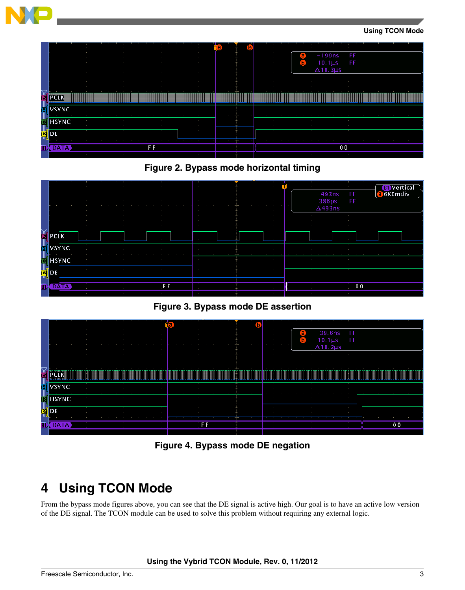<span id="page-2-0"></span>







**Figure 3. Bypass mode DE assertion**

|         |                    | r a |                |  |                | $\sim$<br>$-39.6$ ns<br>FF<br>а<br>$\sim$ 100 $\pm$<br>FF<br>$10.1\,\mu s$<br>lb.<br>$\sim$ 10 $\pm$<br><b>STATE</b> |                 |     |              |  |
|---------|--------------------|-----|----------------|--|----------------|----------------------------------------------------------------------------------------------------------------------|-----------------|-----|--------------|--|
|         |                    |     |                |  | $\sim$ 10 $\,$ |                                                                                                                      | $\Delta$ 10.2µs |     |              |  |
| Ğ<br>p  | <b>IVSYNC</b>      |     |                |  |                |                                                                                                                      |                 |     |              |  |
| ड<br>प् | <b>HSYNC</b><br>DI |     |                |  | - 10           |                                                                                                                      |                 |     |              |  |
| BI      | AIA                |     | F <sub>F</sub> |  |                |                                                                                                                      |                 | a s | 00<br>$\sim$ |  |

**Figure 4. Bypass mode DE negation**

# **4 Using TCON Mode**

From the bypass mode figures above, you can see that the DE signal is active high. Our goal is to have an active low version of the DE signal. The TCON module can be used to solve this problem without requiring any external logic.

#### **Using the Vybrid TCON Module, Rev. 0, 11/2012**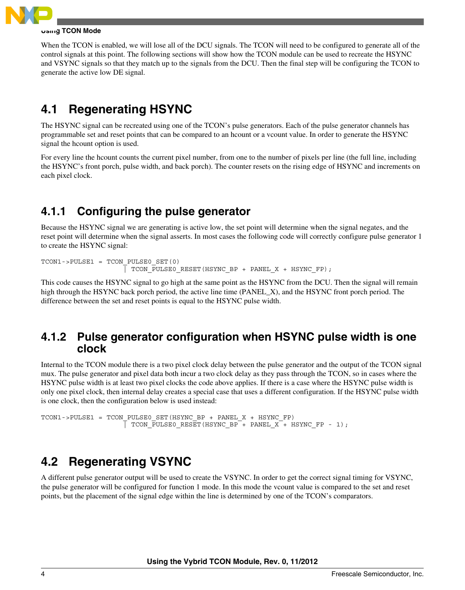<span id="page-3-0"></span>

#### **Using TCON Mode**

When the TCON is enabled, we will lose all of the DCU signals. The TCON will need to be configured to generate all of the control signals at this point. The following sections will show how the TCON module can be used to recreate the HSYNC and VSYNC signals so that they match up to the signals from the DCU. Then the final step will be configuring the TCON to generate the active low DE signal.

### **4.1 Regenerating HSYNC**

The HSYNC signal can be recreated using one of the TCON's pulse generators. Each of the pulse generator channels has programmable set and reset points that can be compared to an hcount or a vcount value. In order to generate the HSYNC signal the hcount option is used.

For every line the hcount counts the current pixel number, from one to the number of pixels per line (the full line, including the HSYNC's front porch, pulse width, and back porch). The counter resets on the rising edge of HSYNC and increments on each pixel clock.

### **4.1.1 Configuring the pulse generator**

Because the HSYNC signal we are generating is active low, the set point will determine when the signal negates, and the reset point will determine when the signal asserts. In most cases the following code will correctly configure pulse generator 1 to create the HSYNC signal:

```
TCON1->PULSE1 = TCON_PULSE0_SET(0)
                     | TCON_PULSE0_RESET(HSYNC_BP + PANEL_X + HSYNC_FP);
```
This code causes the HSYNC signal to go high at the same point as the HSYNC from the DCU. Then the signal will remain high through the HSYNC back porch period, the active line time (PANEL\_X), and the HSYNC front porch period. The difference between the set and reset points is equal to the HSYNC pulse width.

#### **4.1.2 Pulse generator configuration when HSYNC pulse width is one clock**

Internal to the TCON module there is a two pixel clock delay between the pulse generator and the output of the TCON signal mux. The pulse generator and pixel data both incur a two clock delay as they pass through the TCON, so in cases where the HSYNC pulse width is at least two pixel clocks the code above applies. If there is a case where the HSYNC pulse width is only one pixel clock, then internal delay creates a special case that uses a different configuration. If the HSYNC pulse width is one clock, then the configuration below is used instead:

```
TCON1->PULSE1 = TCON_PULSE0_SET(HSYNC_BP + PANEL_X + HSYNC_FP)
                      \overline{ } TCON PULSE0 RESET(HSYNC BP + PANEL X + HSYNC FP - 1);
```
### **4.2 Regenerating VSYNC**

A different pulse generator output will be used to create the VSYNC. In order to get the correct signal timing for VSYNC, the pulse generator will be configured for function 1 mode. In this mode the vcount value is compared to the set and reset points, but the placement of the signal edge within the line is determined by one of the TCON's comparators.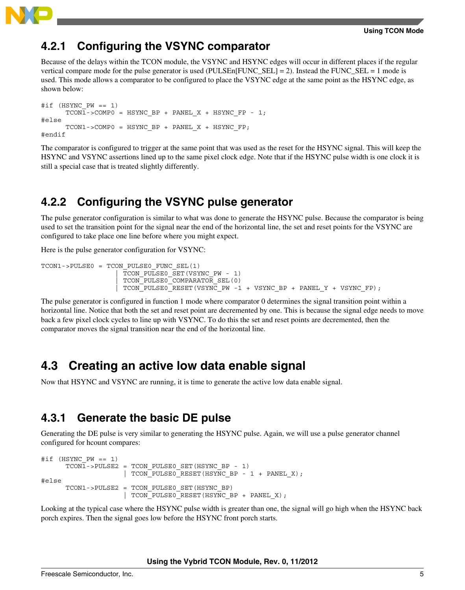<span id="page-4-0"></span>

### **4.2.1 Configuring the VSYNC comparator**

Because of the delays within the TCON module, the VSYNC and HSYNC edges will occur in different places if the regular vertical compare mode for the pulse generator is used (PULSEn[FUNC\_SEL] = 2). Instead the FUNC\_SEL = 1 mode is used. This mode allows a comparator to be configured to place the VSYNC edge at the same point as the HSYNC edge, as shown below:

```
\#if (HSYNC PW == 1)
      TCON1->COMPO = HSYNC BP + PANEL X + HSYNC FP - 1;#else
      TCON1 - > COMP0 = HSYNC BP + PANEL X + HSYNC FP;#endif
```
The comparator is configured to trigger at the same point that was used as the reset for the HSYNC signal. This will keep the HSYNC and VSYNC assertions lined up to the same pixel clock edge. Note that if the HSYNC pulse width is one clock it is still a special case that is treated slightly differently.

### **4.2.2 Configuring the VSYNC pulse generator**

The pulse generator configuration is similar to what was done to generate the HSYNC pulse. Because the comparator is being used to set the transition point for the signal near the end of the horizontal line, the set and reset points for the VSYNC are configured to take place one line before where you might expect.

Here is the pulse generator configuration for VSYNC:

```
TCON1->PULSE0 = TCON_PULSE0_FUNC_SEL(1)
                    TCON PULSE0 SET(VSYNC PW - 1)
                    TCON PULSE0 COMPARATOR SEL(0)
                     | TCON_PULSE0_RESET(VSYNC_PW -1 + VSYNC_BP + PANEL_Y + VSYNC_FP);
```
The pulse generator is configured in function 1 mode where comparator 0 determines the signal transition point within a horizontal line. Notice that both the set and reset point are decremented by one. This is because the signal edge needs to move back a few pixel clock cycles to line up with VSYNC. To do this the set and reset points are decremented, then the comparator moves the signal transition near the end of the horizontal line.

### **4.3 Creating an active low data enable signal**

Now that HSYNC and VSYNC are running, it is time to generate the active low data enable signal.

### **4.3.1 Generate the basic DE pulse**

Generating the DE pulse is very similar to generating the HSYNC pulse. Again, we will use a pulse generator channel configured for hcount compares:

```
\#if (HSYNC PW == 1)
      TCON\overline{1}->PULSE2 = TCON PULSE0 SET(HSYNC BP - 1)
                       | TCON_PULSE0_RESET(HSYNC_BP - 1 + PANEL_X);
#else
       TCON1->PULSE2 = TCON_PULSE0_SET(HSYNC_BP)
                       | TCON_PULSE0_RESET(HSYNC_BP + PANEL_X);
```
Looking at the typical case where the HSYNC pulse width is greater than one, the signal will go high when the HSYNC back porch expires. Then the signal goes low before the HSYNC front porch starts.

**Using the Vybrid TCON Module, Rev. 0, 11/2012**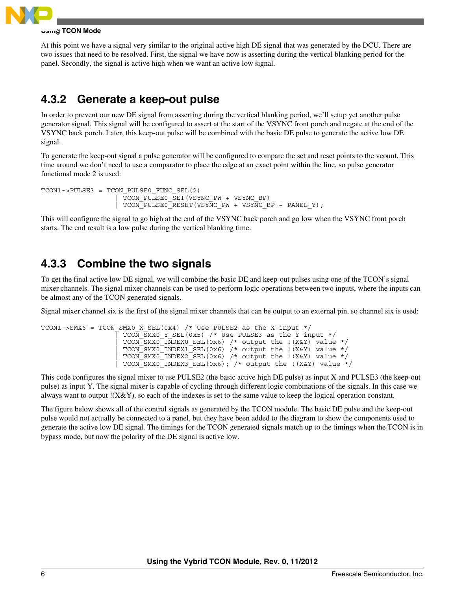<span id="page-5-0"></span>

#### **Using TCON Mode**

At this point we have a signal very similar to the original active high DE signal that was generated by the DCU. There are two issues that need to be resolved. First, the signal we have now is asserting during the vertical blanking period for the panel. Secondly, the signal is active high when we want an active low signal.

### **4.3.2 Generate a keep-out pulse**

In order to prevent our new DE signal from asserting during the vertical blanking period, we'll setup yet another pulse generator signal. This signal will be configured to assert at the start of the VSYNC front porch and negate at the end of the VSYNC back porch. Later, this keep-out pulse will be combined with the basic DE pulse to generate the active low DE signal.

To generate the keep-out signal a pulse generator will be configured to compare the set and reset points to the vcount. This time around we don't need to use a comparator to place the edge at an exact point within the line, so pulse generator functional mode 2 is used:

```
TCON1->PULSE3 = TCON_PULSE0_FUNC_SEL(2)
                     | TCON_PULSE0_SET(VSYNC_PW + VSYNC_BP)
                    TCON PULSE0 RESET(VSYNC PW + VSYNC BP + PANEL Y);
```
This will configure the signal to go high at the end of the VSYNC back porch and go low when the VSYNC front porch starts. The end result is a low pulse during the vertical blanking time.

### **4.3.3 Combine the two signals**

To get the final active low DE signal, we will combine the basic DE and keep-out pulses using one of the TCON's signal mixer channels. The signal mixer channels can be used to perform logic operations between two inputs, where the inputs can be almost any of the TCON generated signals.

Signal mixer channel six is the first of the signal mixer channels that can be output to an external pin, so channel six is used:

```
TCON1->SMX6 = TCON SMX0 X SEL(0x4) /* Use PULSE2 as the X input */
                     TCON SMX0 Y SEL(0x5) /* Use PULSE3 as the Y input */
                     TCON SMX0 INDEX0 SEL(0x6) /* output the !(X&Y) value */
                      | TCON_SMX0_INDEX1_SEL(0x6) /* output the !(X&Y) value */
                     TCON^TSMX0^TINDEX2^SEL(0x6) /* output the !(X&Y) value */
                     TCON SMX0<sup>-</sup>INDEX3<sup>-SEL(0x6); /* output the !(X&Y) value */</sup>
```
This code configures the signal mixer to use PULSE2 (the basic active high DE pulse) as input X and PULSE3 (the keep-out pulse) as input Y. The signal mixer is capable of cycling through different logic combinations of the signals. In this case we always want to output !(X&Y), so each of the indexes is set to the same value to keep the logical operation constant.

The figure below shows all of the control signals as generated by the TCON module. The basic DE pulse and the keep-out pulse would not actually be connected to a panel, but they have been added to the diagram to show the components used to generate the active low DE signal. The timings for the TCON generated signals match up to the timings when the TCON is in bypass mode, but now the polarity of the DE signal is active low.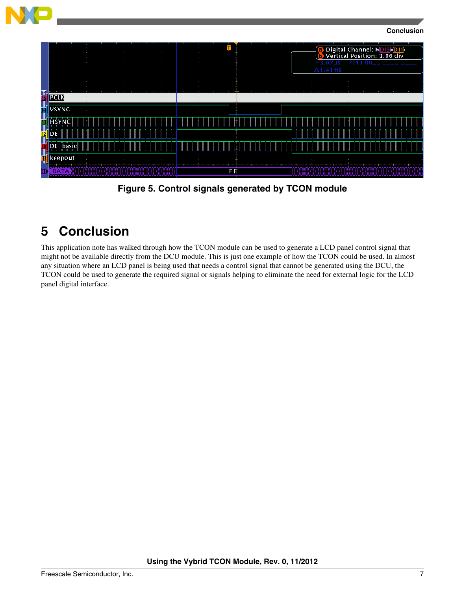<span id="page-6-0"></span>

**Figure 5. Control signals generated by TCON module**

# **5 Conclusion**

This application note has walked through how the TCON module can be used to generate a LCD panel control signal that might not be available directly from the DCU module. This is just one example of how the TCON could be used. In almost any situation where an LCD panel is being used that needs a control signal that cannot be generated using the DCU, the TCON could be used to generate the required signal or signals helping to eliminate the need for external logic for the LCD panel digital interface.